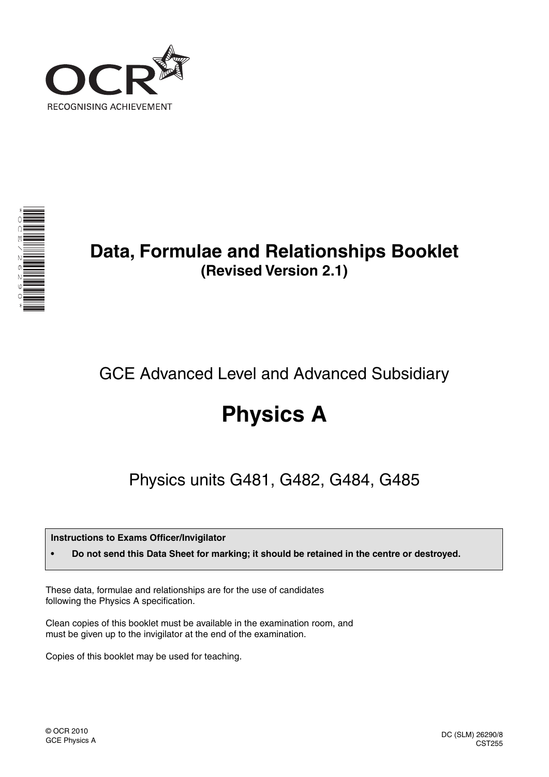



## **Data, Formulae and Relationships Booklet (Revised Version 2.1)**

GCE Advanced Level and Advanced Subsidiary

# **Physics A**

Physics units G481, G482, G484, G485

**Instructions to Exams Officer/Invigilator**

**• Do not send this Data Sheet for marking; it should be retained in the centre or destroyed.**

These data, formulae and relationships are for the use of candidates following the Physics A specification.

Clean copies of this booklet must be available in the examination room, and must be given up to the invigilator at the end of the examination.

Copies of this booklet may be used for teaching.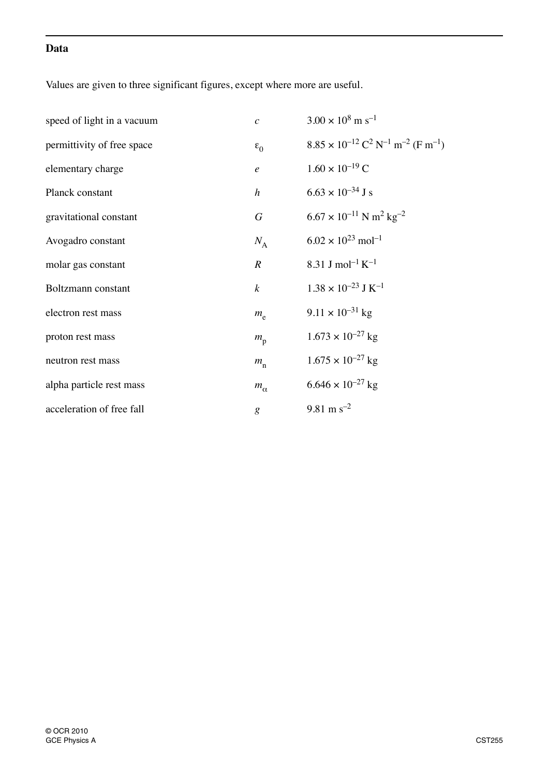## **Data**

Values are given to three significant figures, except where more are useful.

| speed of light in a vacuum | $\mathcal{C}$    | $3.00 \times 10^8$ m s <sup>-1</sup>                                                       |
|----------------------------|------------------|--------------------------------------------------------------------------------------------|
| permittivity of free space | $\varepsilon_0$  | $8.85 \times 10^{-12}$ C <sup>2</sup> N <sup>-1</sup> m <sup>-2</sup> (F m <sup>-1</sup> ) |
| elementary charge          | $\mathfrak{e}$   | $1.60 \times 10^{-19}$ C                                                                   |
| Planck constant            | $\boldsymbol{h}$ | $6.63 \times 10^{-34}$ J s                                                                 |
| gravitational constant     | G                | $6.67 \times 10^{-11}$ N m <sup>2</sup> kg <sup>-2</sup>                                   |
| Avogadro constant          | $N_A$            | $6.02 \times 10^{23}$ mol <sup>-1</sup>                                                    |
| molar gas constant         | $\boldsymbol{R}$ | 8.31 J mol <sup>-1</sup> $K^{-1}$                                                          |
| Boltzmann constant         | $\boldsymbol{k}$ | $1.38 \times 10^{-23}$ J K <sup>-1</sup>                                                   |
| electron rest mass         | $m_e$            | $9.11 \times 10^{-31}$ kg                                                                  |
| proton rest mass           | $m_{\rm p}$      | $1.673 \times 10^{-27}$ kg                                                                 |
| neutron rest mass          | $m_{\rm n}$      | $1.675 \times 10^{-27}$ kg                                                                 |
| alpha particle rest mass   | $m_{\alpha}$     | $6.646 \times 10^{-27}$ kg                                                                 |
| acceleration of free fall  | g                | $9.81 \text{ m s}^{-2}$                                                                    |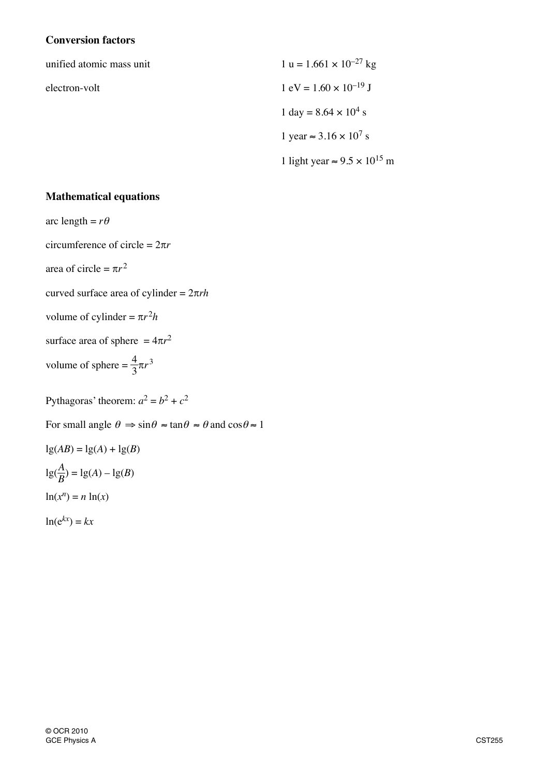### **Conversion factors**

unified atomic mass unit

electron-volt

unified atomic mass unit

\n
$$
1 \text{ u} = 1.661 \times 10^{-27} \text{ kg}
$$
\nelectron-volt

\n
$$
1 \text{ eV} = 1.60 \times 10^{-19} \text{ J}
$$
\n
$$
1 \text{ day} = 8.64 \times 10^{4} \text{ s}
$$
\n
$$
1 \text{ year} \approx 3.16 \times 10^{7} \text{ s}
$$
\n
$$
1 \text{ light year} \approx 9.5 \times 10^{15} \text{ m}
$$

## **Mathematical equations**

arc length =  $r\theta$ circumference of circle =  $2\pi r$ area of circle =  $\pi r^2$ curved surface area of cylinder =  $2\pi rh$ volume of cylinder =  $\pi r^2 h$ surface area of sphere  $= 4\pi r^2$ volume of sphere  $=$   $\frac{4}{3}\pi r^3$ 

Pythagoras' theorem:  $a^2 = b^2 + c^2$ 

For small angle  $\theta \Rightarrow \sin \theta \approx \tan \theta \approx \theta$  and  $\cos \theta \approx 1$ 

 $lg(AB) = lg(A) + lg(B)$  $\lg(\frac{A}{B}) = \lg(A) - \lg(B)$  $\ln(x^n) = n \ln(x)$  $ln(e^{kx}) = kx$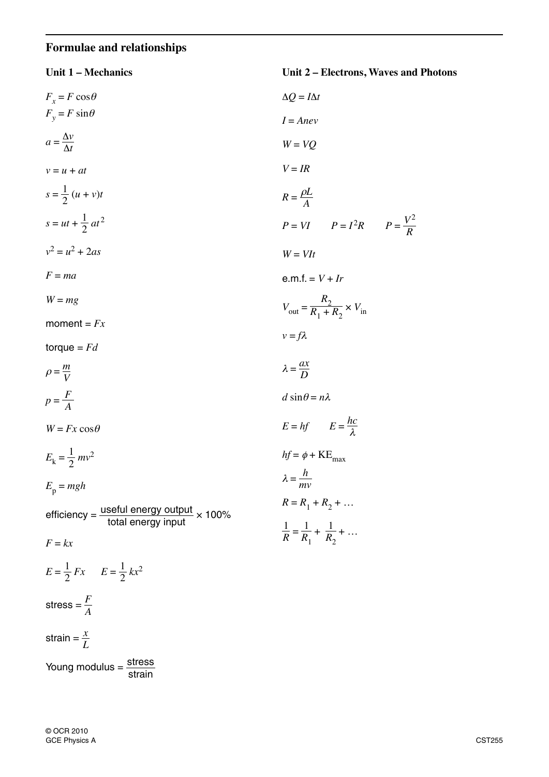## **Formulae and relationships**

| <b>Unit 1 - Mechanics</b>                                                                 | Unit 2 - Electrons, Waves and Photons                         |  |
|-------------------------------------------------------------------------------------------|---------------------------------------------------------------|--|
| $F_x = F \cos \theta$                                                                     | $\Delta Q = I \Delta t$                                       |  |
| $F_v = F \sin \theta$                                                                     | $I = Anev$                                                    |  |
| $a = \frac{\Delta v}{\Delta t}$                                                           | $W = VQ$                                                      |  |
| $v = u + at$                                                                              | $V = IR$                                                      |  |
| $s = \frac{1}{2}(u + v)t$                                                                 | $R = \frac{\rho L}{4}$                                        |  |
| $s = ut + \frac{1}{2}at^2$                                                                | $P = VI$ $P = I^2 R$ $P = \frac{V^2}{R}$                      |  |
| $v^2 = u^2 + 2as$                                                                         | $W = VIt$                                                     |  |
| $F = ma$                                                                                  | e.m.f. = $V + Ir$                                             |  |
| $W = mg$                                                                                  | $V_{\text{out}} = \frac{R_2}{R_1 + R_2} \times V_{\text{in}}$ |  |
| moment = $Fx$                                                                             | $v = f\lambda$                                                |  |
| torque = $Fd$                                                                             |                                                               |  |
| $\rho = \frac{m}{V}$                                                                      | $\lambda = \frac{dx}{D}$                                      |  |
| $p = \frac{F}{4}$                                                                         | $d \sin \theta = n\lambda$                                    |  |
| $W = Fx \cos \theta$                                                                      | $E = hf$ $E = \frac{hc}{\lambda}$                             |  |
| $E_{\rm k} = \frac{1}{2}mv^2$                                                             | $hf = \phi + KE_{\text{max}}$                                 |  |
| $E_p = mgh$                                                                               | $\lambda = \frac{h}{h}$<br>mv                                 |  |
| efficiency = $\frac{\text{useful energy output}}{\text{total energy input}} \times 100\%$ | $R = R_1 + R_2 + $                                            |  |
| $F = kx$                                                                                  | $\frac{1}{R} = \frac{1}{R_1} + \frac{1}{R_2} + \dots$         |  |
| $E = \frac{1}{2} Fx$ $E = \frac{1}{2} kx^2$                                               |                                                               |  |

stress  $=$   $\frac{F}{A}$ 

strain =  $\frac{x}{L}$ 

Young modulus = <mark>stress</mark><br>strain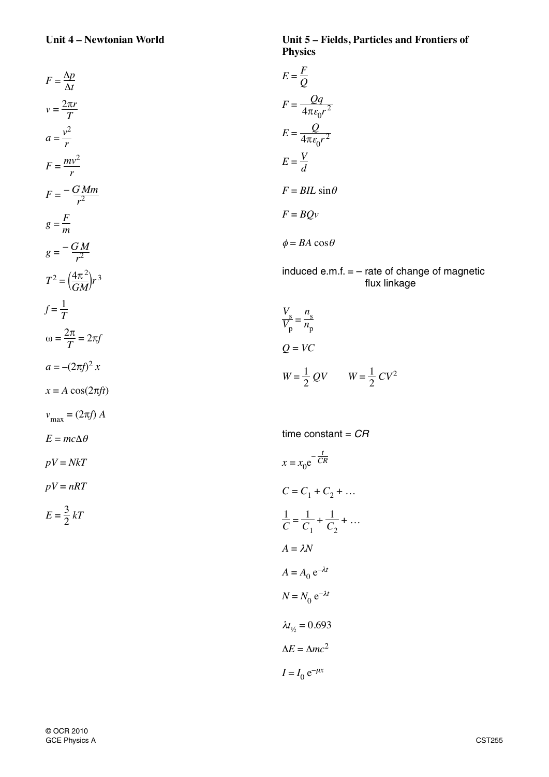## $F = \frac{\Delta p}{\Delta t}$  $v = \frac{2\pi r}{T}$  $a = \frac{v^2}{r}$  $F = \frac{mv^2}{r}$  $F = \frac{GMm}{r^2}$  $g = \frac{F}{m}$  $g = -\frac{GM}{r^2}$  $T^2 = \left(\frac{4\pi^2}{GM}\right)r^3$  $f = \frac{1}{T}$  $\omega = \frac{2\pi}{T} = 2\pi f$  $a = -(2\pi f)^2 x$  $x = A \cos(2\pi f t)$  $v_{\text{max}} = (2\pi f) A$  $E = mc\Delta\theta$  $pV = NkT$  $pV = nRT$  $E = \frac{3}{2} kT$ *<sup>E</sup>*<sup>=</sup> *<sup>F</sup> Q*  $E=\frac{V}{J}$ *d*  $\frac{V_{\rm s}}{V}$  $\overline{V_{\rm p}}$  $=\frac{n_s}{n}$  $\overline{n_p}$ *Q* = *VC*  $W = \frac{1}{2}$  $x = x_0$ e 1  $\frac{1}{C} = \frac{1}{C}$

## **Unit 5 – Fields, Particles and Frontiers of Physics**

$$
E = \frac{F}{Q}
$$
  
\n
$$
F = \frac{Qq}{4\pi \epsilon_0 r^2}
$$
  
\n
$$
E = \frac{V}{4\pi \epsilon_0 r^2}
$$
  
\n
$$
E = \frac{V}{d}
$$
  
\n
$$
F = BLL \sin \theta
$$
  
\n
$$
F = BQv
$$
  
\n
$$
\phi = BA \cos \theta
$$
  
\ninduced e.m.f. = - rate of change of magnetic  
\nflux linkage  
\n
$$
\frac{V_s}{V_p} = \frac{n_s}{n_p}
$$
  
\n
$$
Q = VC
$$

$$
W = \frac{1}{2} QV \qquad W = \frac{1}{2} CV^2
$$

time constant = *CR*  
\n
$$
x = x_0 e^{-\frac{t}{CR}}
$$
\n
$$
C = C_1 + C_2 + \dots
$$
\n
$$
\frac{1}{C} = \frac{1}{C_1} + \frac{1}{C_2} + \dots
$$
\n
$$
A = \lambda N
$$
\n
$$
A = A_0 e^{-\lambda t}
$$
\n
$$
N = N_0 e^{-\lambda t}
$$
\n
$$
\lambda t_{1/2} = 0.693
$$
\n
$$
\Delta E = \Delta mc^2
$$
\n
$$
I = I_0 e^{-\mu x}
$$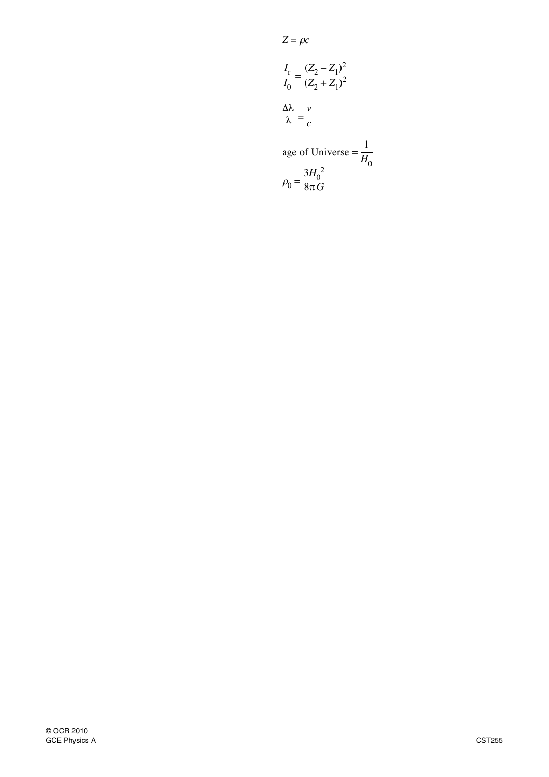$$
Z = \rho c
$$
  

$$
\frac{I_r}{I_0} = \frac{(Z_2 - Z_1)^2}{(Z_2 + Z_1)^2}
$$
  

$$
\frac{\Delta \lambda}{\lambda} = \frac{v}{c}
$$
  
age of Universe =  

$$
\rho_0 = \frac{3H_0^2}{8\pi G}
$$

 $8\pi G$ 

1  $H^0_0$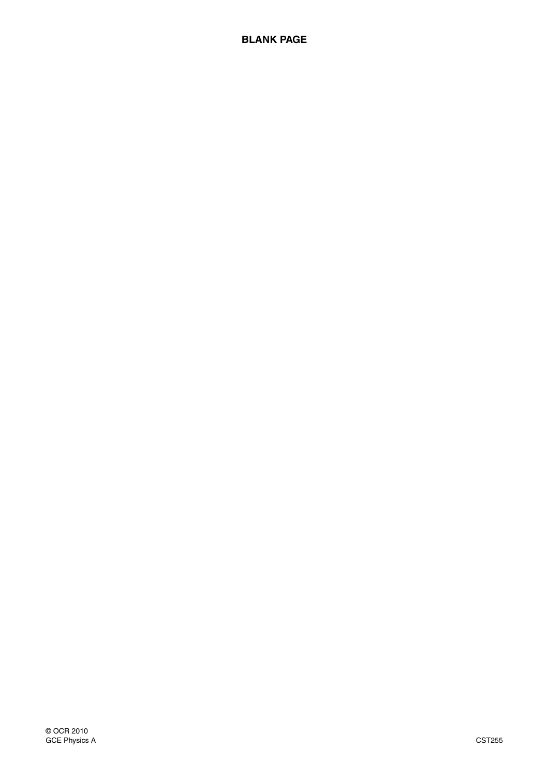## **BLANK PAGE**